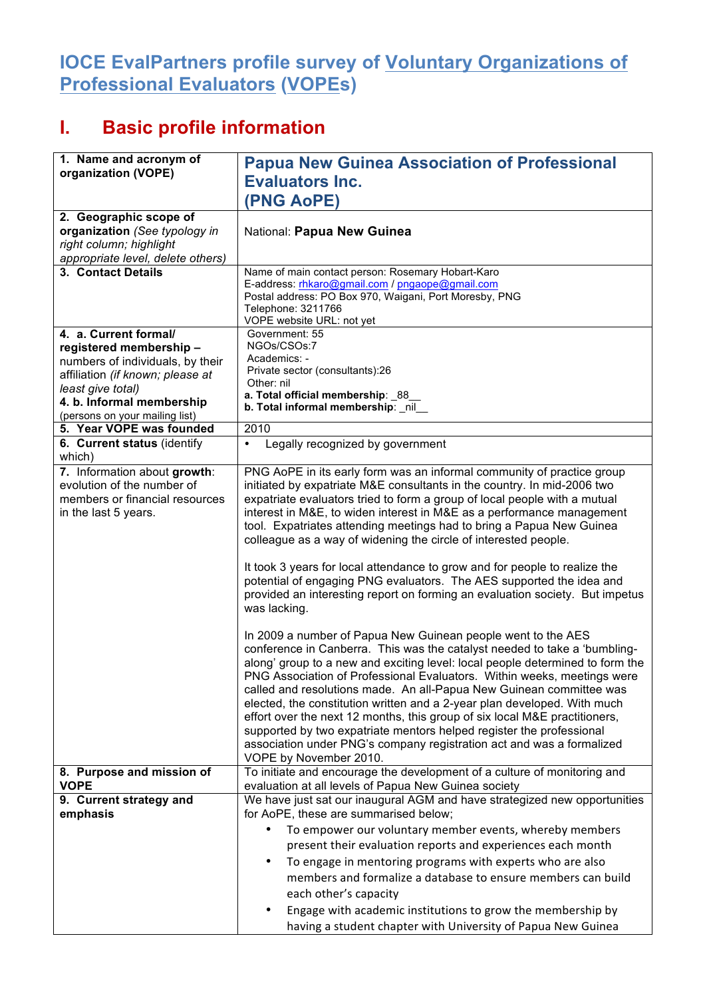## **IOCE EvalPartners profile survey of Voluntary Organizations of Professional Evaluators (VOPEs)**

## **I. Basic profile information**

| 1. Name and acronym of                                       | <b>Papua New Guinea Association of Professional</b>                                                                                                  |
|--------------------------------------------------------------|------------------------------------------------------------------------------------------------------------------------------------------------------|
| organization (VOPE)                                          | <b>Evaluators Inc.</b>                                                                                                                               |
|                                                              | (PNG AoPE)                                                                                                                                           |
| 2. Geographic scope of                                       |                                                                                                                                                      |
| organization (See typology in                                | National: Papua New Guinea                                                                                                                           |
| right column; highlight                                      |                                                                                                                                                      |
| appropriate level, delete others)                            |                                                                                                                                                      |
| 3. Contact Details                                           | Name of main contact person: Rosemary Hobart-Karo                                                                                                    |
|                                                              | E-address: rhkaro@gmail.com / pngaope@gmail.com<br>Postal address: PO Box 970, Waigani, Port Moresby, PNG                                            |
|                                                              | Telephone: 3211766                                                                                                                                   |
|                                                              | VOPE website URL: not yet                                                                                                                            |
| 4. a. Current formal/                                        | Government: 55                                                                                                                                       |
| registered membership-                                       | NGOs/CSOs:7<br>Academics: -                                                                                                                          |
| numbers of individuals, by their                             | Private sector (consultants):26                                                                                                                      |
| affiliation (if known; please at<br>least give total)        | Other: nil                                                                                                                                           |
| 4. b. Informal membership                                    | a. Total official membership: 88                                                                                                                     |
| (persons on your mailing list)                               | b. Total informal membership: _nil_                                                                                                                  |
| 5. Year VOPE was founded                                     | 2010                                                                                                                                                 |
| 6. Current status (identify                                  | Legally recognized by government<br>٠                                                                                                                |
| which)                                                       |                                                                                                                                                      |
| 7. Information about growth:                                 | PNG AoPE in its early form was an informal community of practice group                                                                               |
| evolution of the number of<br>members or financial resources | initiated by expatriate M&E consultants in the country. In mid-2006 two<br>expatriate evaluators tried to form a group of local people with a mutual |
| in the last 5 years.                                         | interest in M&E, to widen interest in M&E as a performance management                                                                                |
|                                                              | tool. Expatriates attending meetings had to bring a Papua New Guinea                                                                                 |
|                                                              | colleague as a way of widening the circle of interested people.                                                                                      |
|                                                              |                                                                                                                                                      |
|                                                              | It took 3 years for local attendance to grow and for people to realize the                                                                           |
|                                                              | potential of engaging PNG evaluators. The AES supported the idea and                                                                                 |
|                                                              | provided an interesting report on forming an evaluation society. But impetus                                                                         |
|                                                              | was lacking.                                                                                                                                         |
|                                                              | In 2009 a number of Papua New Guinean people went to the AES                                                                                         |
|                                                              | conference in Canberra. This was the catalyst needed to take a 'bumbling-                                                                            |
|                                                              | along' group to a new and exciting level: local people determined to form the                                                                        |
|                                                              | PNG Association of Professional Evaluators. Within weeks, meetings were                                                                              |
|                                                              | called and resolutions made. An all-Papua New Guinean committee was                                                                                  |
|                                                              | elected, the constitution written and a 2-year plan developed. With much                                                                             |
|                                                              | effort over the next 12 months, this group of six local M&E practitioners,                                                                           |
|                                                              | supported by two expatriate mentors helped register the professional<br>association under PNG's company registration act and was a formalized        |
|                                                              | VOPE by November 2010.                                                                                                                               |
| 8. Purpose and mission of                                    | To initiate and encourage the development of a culture of monitoring and                                                                             |
| <b>VOPE</b>                                                  | evaluation at all levels of Papua New Guinea society                                                                                                 |
| 9. Current strategy and                                      | We have just sat our inaugural AGM and have strategized new opportunities                                                                            |
| emphasis                                                     | for AoPE, these are summarised below;                                                                                                                |
|                                                              | To empower our voluntary member events, whereby members                                                                                              |
|                                                              | present their evaluation reports and experiences each month                                                                                          |
|                                                              | To engage in mentoring programs with experts who are also                                                                                            |
|                                                              | members and formalize a database to ensure members can build                                                                                         |
|                                                              | each other's capacity                                                                                                                                |
|                                                              | Engage with academic institutions to grow the membership by                                                                                          |
|                                                              | having a student chapter with University of Papua New Guinea                                                                                         |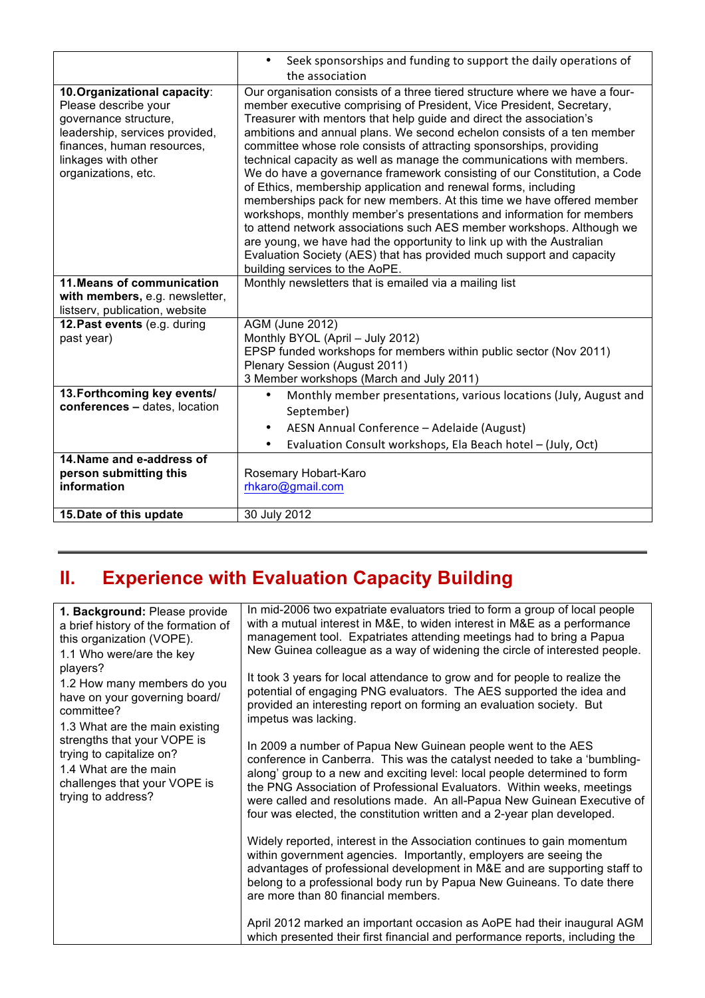|                                                                                                                                                                                             | Seek sponsorships and funding to support the daily operations of                                                                                                                                                                                                                                                                                                                                                                                                                                                                                                                                                                                                                                                                                                                                                                                                                                                                                                                                                 |
|---------------------------------------------------------------------------------------------------------------------------------------------------------------------------------------------|------------------------------------------------------------------------------------------------------------------------------------------------------------------------------------------------------------------------------------------------------------------------------------------------------------------------------------------------------------------------------------------------------------------------------------------------------------------------------------------------------------------------------------------------------------------------------------------------------------------------------------------------------------------------------------------------------------------------------------------------------------------------------------------------------------------------------------------------------------------------------------------------------------------------------------------------------------------------------------------------------------------|
|                                                                                                                                                                                             | the association                                                                                                                                                                                                                                                                                                                                                                                                                                                                                                                                                                                                                                                                                                                                                                                                                                                                                                                                                                                                  |
| 10. Organizational capacity:<br>Please describe your<br>governance structure,<br>leadership, services provided,<br>finances, human resources,<br>linkages with other<br>organizations, etc. | Our organisation consists of a three tiered structure where we have a four-<br>member executive comprising of President, Vice President, Secretary,<br>Treasurer with mentors that help guide and direct the association's<br>ambitions and annual plans. We second echelon consists of a ten member<br>committee whose role consists of attracting sponsorships, providing<br>technical capacity as well as manage the communications with members.<br>We do have a governance framework consisting of our Constitution, a Code<br>of Ethics, membership application and renewal forms, including<br>memberships pack for new members. At this time we have offered member<br>workshops, monthly member's presentations and information for members<br>to attend network associations such AES member workshops. Although we<br>are young, we have had the opportunity to link up with the Australian<br>Evaluation Society (AES) that has provided much support and capacity<br>building services to the AoPE. |
| 11. Means of communication                                                                                                                                                                  | Monthly newsletters that is emailed via a mailing list                                                                                                                                                                                                                                                                                                                                                                                                                                                                                                                                                                                                                                                                                                                                                                                                                                                                                                                                                           |
| with members, e.g. newsletter,                                                                                                                                                              |                                                                                                                                                                                                                                                                                                                                                                                                                                                                                                                                                                                                                                                                                                                                                                                                                                                                                                                                                                                                                  |
| listserv, publication, website                                                                                                                                                              |                                                                                                                                                                                                                                                                                                                                                                                                                                                                                                                                                                                                                                                                                                                                                                                                                                                                                                                                                                                                                  |
| 12. Past events (e.g. during                                                                                                                                                                | <b>AGM (June 2012)</b>                                                                                                                                                                                                                                                                                                                                                                                                                                                                                                                                                                                                                                                                                                                                                                                                                                                                                                                                                                                           |
| past year)                                                                                                                                                                                  | Monthly BYOL (April - July 2012)                                                                                                                                                                                                                                                                                                                                                                                                                                                                                                                                                                                                                                                                                                                                                                                                                                                                                                                                                                                 |
|                                                                                                                                                                                             | EPSP funded workshops for members within public sector (Nov 2011)                                                                                                                                                                                                                                                                                                                                                                                                                                                                                                                                                                                                                                                                                                                                                                                                                                                                                                                                                |
|                                                                                                                                                                                             | Plenary Session (August 2011)                                                                                                                                                                                                                                                                                                                                                                                                                                                                                                                                                                                                                                                                                                                                                                                                                                                                                                                                                                                    |
|                                                                                                                                                                                             | 3 Member workshops (March and July 2011)                                                                                                                                                                                                                                                                                                                                                                                                                                                                                                                                                                                                                                                                                                                                                                                                                                                                                                                                                                         |
| 13. Forthcoming key events/<br>conferences - dates, location                                                                                                                                | Monthly member presentations, various locations (July, August and                                                                                                                                                                                                                                                                                                                                                                                                                                                                                                                                                                                                                                                                                                                                                                                                                                                                                                                                                |
|                                                                                                                                                                                             | September)                                                                                                                                                                                                                                                                                                                                                                                                                                                                                                                                                                                                                                                                                                                                                                                                                                                                                                                                                                                                       |
|                                                                                                                                                                                             | AESN Annual Conference - Adelaide (August)<br>$\bullet$                                                                                                                                                                                                                                                                                                                                                                                                                                                                                                                                                                                                                                                                                                                                                                                                                                                                                                                                                          |
|                                                                                                                                                                                             | Evaluation Consult workshops, Ela Beach hotel - (July, Oct)<br>٠                                                                                                                                                                                                                                                                                                                                                                                                                                                                                                                                                                                                                                                                                                                                                                                                                                                                                                                                                 |
| 14. Name and e-address of                                                                                                                                                                   |                                                                                                                                                                                                                                                                                                                                                                                                                                                                                                                                                                                                                                                                                                                                                                                                                                                                                                                                                                                                                  |
| person submitting this                                                                                                                                                                      | Rosemary Hobart-Karo                                                                                                                                                                                                                                                                                                                                                                                                                                                                                                                                                                                                                                                                                                                                                                                                                                                                                                                                                                                             |
| information                                                                                                                                                                                 | rhkaro@gmail.com                                                                                                                                                                                                                                                                                                                                                                                                                                                                                                                                                                                                                                                                                                                                                                                                                                                                                                                                                                                                 |
|                                                                                                                                                                                             |                                                                                                                                                                                                                                                                                                                                                                                                                                                                                                                                                                                                                                                                                                                                                                                                                                                                                                                                                                                                                  |
| 15. Date of this update                                                                                                                                                                     | 30 July 2012                                                                                                                                                                                                                                                                                                                                                                                                                                                                                                                                                                                                                                                                                                                                                                                                                                                                                                                                                                                                     |

## **II. Experience with Evaluation Capacity Building**

|  | 1. Background: Please provide<br>a brief history of the formation of<br>this organization (VOPE).<br>1.1 Who were/are the key                                                                                                                                      | In mid-2006 two expatriate evaluators tried to form a group of local people<br>with a mutual interest in M&E, to widen interest in M&E as a performance<br>management tool. Expatriates attending meetings had to bring a Papua<br>New Guinea colleague as a way of widening the circle of interested people.                                                                                                                                          |
|--|--------------------------------------------------------------------------------------------------------------------------------------------------------------------------------------------------------------------------------------------------------------------|--------------------------------------------------------------------------------------------------------------------------------------------------------------------------------------------------------------------------------------------------------------------------------------------------------------------------------------------------------------------------------------------------------------------------------------------------------|
|  | players?<br>1.2 How many members do you<br>have on your governing board/<br>committee?<br>1.3 What are the main existing<br>strengths that your VOPE is<br>trying to capitalize on?<br>1.4 What are the main<br>challenges that your VOPE is<br>trying to address? | It took 3 years for local attendance to grow and for people to realize the<br>potential of engaging PNG evaluators. The AES supported the idea and<br>provided an interesting report on forming an evaluation society. But<br>impetus was lacking.                                                                                                                                                                                                     |
|  |                                                                                                                                                                                                                                                                    | In 2009 a number of Papua New Guinean people went to the AES<br>conference in Canberra. This was the catalyst needed to take a 'bumbling-<br>along' group to a new and exciting level: local people determined to form<br>the PNG Association of Professional Evaluators. Within weeks, meetings<br>were called and resolutions made. An all-Papua New Guinean Executive of<br>four was elected, the constitution written and a 2-year plan developed. |
|  |                                                                                                                                                                                                                                                                    | Widely reported, interest in the Association continues to gain momentum<br>within government agencies. Importantly, employers are seeing the<br>advantages of professional development in M&E and are supporting staff to<br>belong to a professional body run by Papua New Guineans. To date there<br>are more than 80 financial members.                                                                                                             |
|  |                                                                                                                                                                                                                                                                    | April 2012 marked an important occasion as AoPE had their inaugural AGM<br>which presented their first financial and performance reports, including the                                                                                                                                                                                                                                                                                                |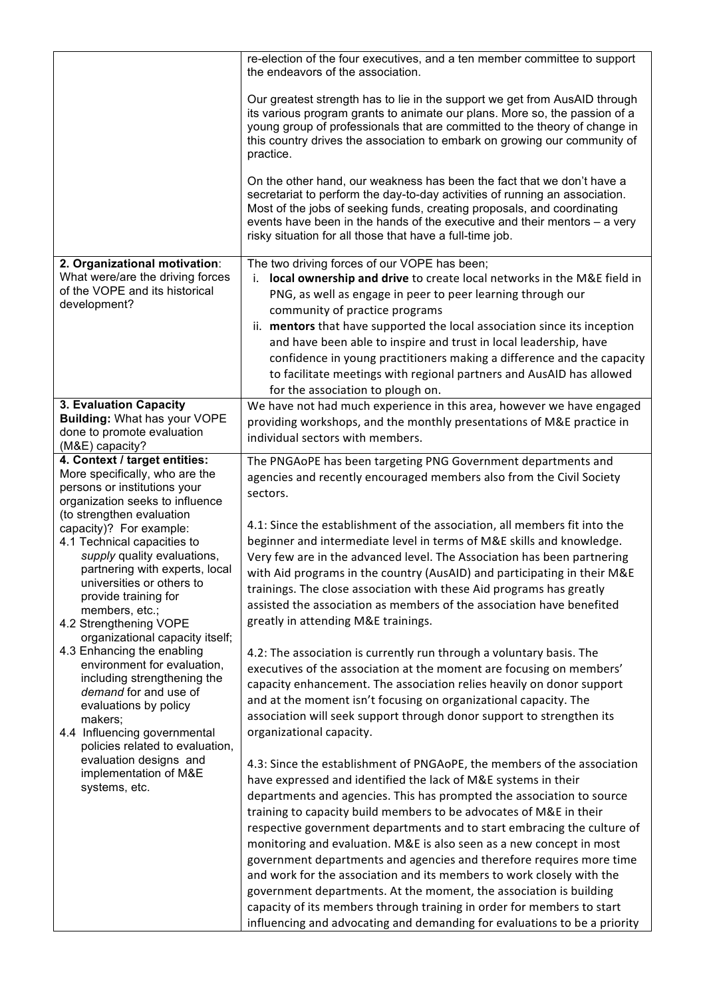|                                                                   | re-election of the four executives, and a ten member committee to support<br>the endeavors of the association.                                                                                                                                                                                                                                                            |
|-------------------------------------------------------------------|---------------------------------------------------------------------------------------------------------------------------------------------------------------------------------------------------------------------------------------------------------------------------------------------------------------------------------------------------------------------------|
|                                                                   | Our greatest strength has to lie in the support we get from AusAID through<br>its various program grants to animate our plans. More so, the passion of a<br>young group of professionals that are committed to the theory of change in<br>this country drives the association to embark on growing our community of<br>practice.                                          |
|                                                                   | On the other hand, our weakness has been the fact that we don't have a<br>secretariat to perform the day-to-day activities of running an association.<br>Most of the jobs of seeking funds, creating proposals, and coordinating<br>events have been in the hands of the executive and their mentors – a very<br>risky situation for all those that have a full-time job. |
| 2. Organizational motivation:<br>What were/are the driving forces | The two driving forces of our VOPE has been;                                                                                                                                                                                                                                                                                                                              |
| of the VOPE and its historical                                    | local ownership and drive to create local networks in the M&E field in<br>i.<br>PNG, as well as engage in peer to peer learning through our                                                                                                                                                                                                                               |
| development?                                                      | community of practice programs                                                                                                                                                                                                                                                                                                                                            |
|                                                                   | ii. mentors that have supported the local association since its inception                                                                                                                                                                                                                                                                                                 |
|                                                                   | and have been able to inspire and trust in local leadership, have                                                                                                                                                                                                                                                                                                         |
|                                                                   | confidence in young practitioners making a difference and the capacity                                                                                                                                                                                                                                                                                                    |
|                                                                   | to facilitate meetings with regional partners and AusAID has allowed                                                                                                                                                                                                                                                                                                      |
| 3. Evaluation Capacity                                            | for the association to plough on.<br>We have not had much experience in this area, however we have engaged                                                                                                                                                                                                                                                                |
| <b>Building: What has your VOPE</b>                               | providing workshops, and the monthly presentations of M&E practice in                                                                                                                                                                                                                                                                                                     |
| done to promote evaluation<br>(M&E) capacity?                     | individual sectors with members.                                                                                                                                                                                                                                                                                                                                          |
| 4. Context / target entities:                                     | The PNGAoPE has been targeting PNG Government departments and                                                                                                                                                                                                                                                                                                             |
| More specifically, who are the                                    | agencies and recently encouraged members also from the Civil Society                                                                                                                                                                                                                                                                                                      |
| persons or institutions your<br>organization seeks to influence   | sectors.                                                                                                                                                                                                                                                                                                                                                                  |
| (to strengthen evaluation                                         |                                                                                                                                                                                                                                                                                                                                                                           |
| capacity)? For example:                                           | 4.1: Since the establishment of the association, all members fit into the                                                                                                                                                                                                                                                                                                 |
| 4.1 Technical capacities to<br>supply quality evaluations,        | beginner and intermediate level in terms of M&E skills and knowledge.<br>Very few are in the advanced level. The Association has been partnering                                                                                                                                                                                                                          |
| partnering with experts, local                                    | with Aid programs in the country (AusAID) and participating in their M&E                                                                                                                                                                                                                                                                                                  |
| universities or others to                                         | trainings. The close association with these Aid programs has greatly                                                                                                                                                                                                                                                                                                      |
| provide training for<br>members, etc.;                            | assisted the association as members of the association have benefited                                                                                                                                                                                                                                                                                                     |
| 4.2 Strengthening VOPE                                            | greatly in attending M&E trainings.                                                                                                                                                                                                                                                                                                                                       |
| organizational capacity itself;                                   |                                                                                                                                                                                                                                                                                                                                                                           |
| 4.3 Enhancing the enabling<br>environment for evaluation,         | 4.2: The association is currently run through a voluntary basis. The                                                                                                                                                                                                                                                                                                      |
| including strengthening the                                       | executives of the association at the moment are focusing on members'<br>capacity enhancement. The association relies heavily on donor support                                                                                                                                                                                                                             |
| demand for and use of                                             | and at the moment isn't focusing on organizational capacity. The                                                                                                                                                                                                                                                                                                          |
| evaluations by policy<br>makers;                                  | association will seek support through donor support to strengthen its                                                                                                                                                                                                                                                                                                     |
| 4.4 Influencing governmental<br>policies related to evaluation,   | organizational capacity.                                                                                                                                                                                                                                                                                                                                                  |
| evaluation designs and                                            | 4.3: Since the establishment of PNGAoPE, the members of the association                                                                                                                                                                                                                                                                                                   |
| implementation of M&E                                             | have expressed and identified the lack of M&E systems in their                                                                                                                                                                                                                                                                                                            |
| systems, etc.                                                     | departments and agencies. This has prompted the association to source                                                                                                                                                                                                                                                                                                     |
|                                                                   | training to capacity build members to be advocates of M&E in their                                                                                                                                                                                                                                                                                                        |
|                                                                   | respective government departments and to start embracing the culture of                                                                                                                                                                                                                                                                                                   |
|                                                                   | monitoring and evaluation. M&E is also seen as a new concept in most                                                                                                                                                                                                                                                                                                      |
|                                                                   | government departments and agencies and therefore requires more time<br>and work for the association and its members to work closely with the                                                                                                                                                                                                                             |
|                                                                   | government departments. At the moment, the association is building                                                                                                                                                                                                                                                                                                        |
|                                                                   | capacity of its members through training in order for members to start                                                                                                                                                                                                                                                                                                    |
|                                                                   | influencing and advocating and demanding for evaluations to be a priority                                                                                                                                                                                                                                                                                                 |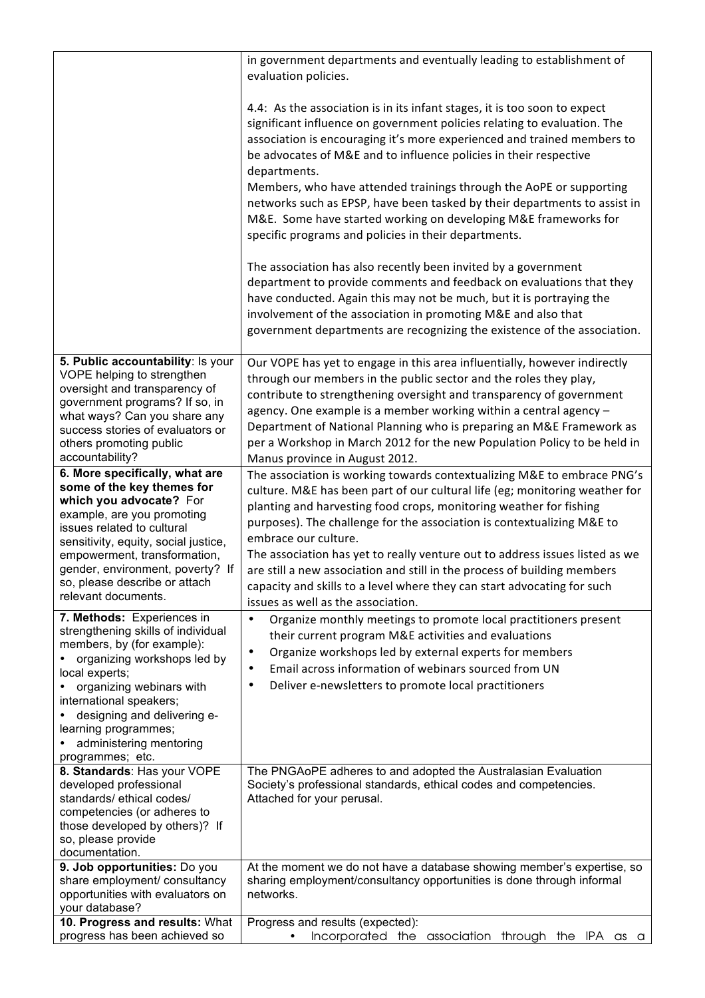|                                                                                                                                                                                                                                                                                                                         | in government departments and eventually leading to establishment of<br>evaluation policies.                                                                                                                                                                                                                                                                                                                                                                                                                                                                                                                |
|-------------------------------------------------------------------------------------------------------------------------------------------------------------------------------------------------------------------------------------------------------------------------------------------------------------------------|-------------------------------------------------------------------------------------------------------------------------------------------------------------------------------------------------------------------------------------------------------------------------------------------------------------------------------------------------------------------------------------------------------------------------------------------------------------------------------------------------------------------------------------------------------------------------------------------------------------|
|                                                                                                                                                                                                                                                                                                                         | 4.4: As the association is in its infant stages, it is too soon to expect<br>significant influence on government policies relating to evaluation. The<br>association is encouraging it's more experienced and trained members to<br>be advocates of M&E and to influence policies in their respective<br>departments.<br>Members, who have attended trainings through the AoPE or supporting<br>networks such as EPSP, have been tasked by their departments to assist in<br>M&E. Some have started working on developing M&E frameworks for<br>specific programs and policies in their departments.        |
|                                                                                                                                                                                                                                                                                                                         | The association has also recently been invited by a government<br>department to provide comments and feedback on evaluations that they<br>have conducted. Again this may not be much, but it is portraying the<br>involvement of the association in promoting M&E and also that<br>government departments are recognizing the existence of the association.                                                                                                                                                                                                                                                 |
| 5. Public accountability: Is your<br>VOPE helping to strengthen<br>oversight and transparency of<br>government programs? If so, in<br>what ways? Can you share any<br>success stories of evaluators or<br>others promoting public<br>accountability?                                                                    | Our VOPE has yet to engage in this area influentially, however indirectly<br>through our members in the public sector and the roles they play,<br>contribute to strengthening oversight and transparency of government<br>agency. One example is a member working within a central agency -<br>Department of National Planning who is preparing an M&E Framework as<br>per a Workshop in March 2012 for the new Population Policy to be held in<br>Manus province in August 2012.                                                                                                                           |
| 6. More specifically, what are<br>some of the key themes for<br>which you advocate? For<br>example, are you promoting<br>issues related to cultural<br>sensitivity, equity, social justice,<br>empowerment, transformation,<br>gender, environment, poverty? If<br>so, please describe or attach<br>relevant documents. | The association is working towards contextualizing M&E to embrace PNG's<br>culture. M&E has been part of our cultural life (eg; monitoring weather for<br>planting and harvesting food crops, monitoring weather for fishing<br>purposes). The challenge for the association is contextualizing M&E to<br>embrace our culture.<br>The association has yet to really venture out to address issues listed as we<br>are still a new association and still in the process of building members<br>capacity and skills to a level where they can start advocating for such<br>issues as well as the association. |
| 7. Methods: Experiences in<br>strengthening skills of individual<br>members, by (for example):<br>organizing workshops led by<br>local experts;<br>organizing webinars with<br>international speakers;<br>designing and delivering e-<br>learning programmes;<br>administering mentoring<br>programmes; etc.            | $\bullet$<br>Organize monthly meetings to promote local practitioners present<br>their current program M&E activities and evaluations<br>Organize workshops led by external experts for members<br>$\bullet$<br>Email across information of webinars sourced from UN<br>$\bullet$<br>Deliver e-newsletters to promote local practitioners<br>$\bullet$                                                                                                                                                                                                                                                      |
| 8. Standards: Has your VOPE<br>developed professional<br>standards/ethical codes/<br>competencies (or adheres to<br>those developed by others)? If<br>so, please provide<br>documentation.                                                                                                                              | The PNGAoPE adheres to and adopted the Australasian Evaluation<br>Society's professional standards, ethical codes and competencies.<br>Attached for your perusal.                                                                                                                                                                                                                                                                                                                                                                                                                                           |
| 9. Job opportunities: Do you<br>share employment/ consultancy<br>opportunities with evaluators on<br>your database?                                                                                                                                                                                                     | At the moment we do not have a database showing member's expertise, so<br>sharing employment/consultancy opportunities is done through informal<br>networks.                                                                                                                                                                                                                                                                                                                                                                                                                                                |
| 10. Progress and results: What<br>progress has been achieved so                                                                                                                                                                                                                                                         | Progress and results (expected):<br>Incorporated the<br>through the IPA as a<br>association                                                                                                                                                                                                                                                                                                                                                                                                                                                                                                                 |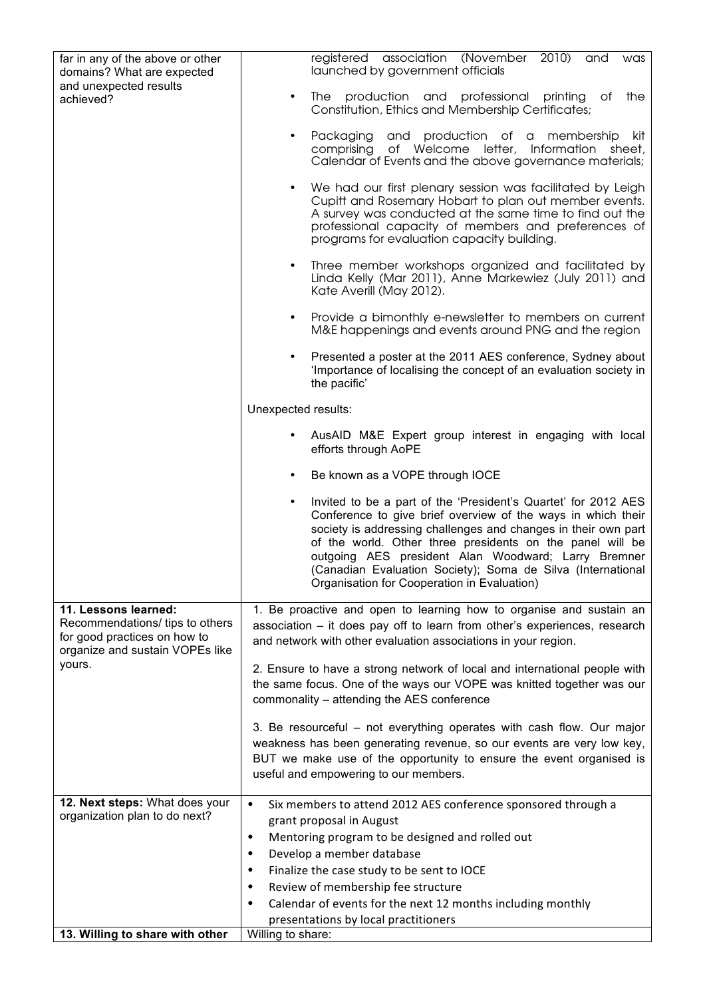| far in any of the above or other<br>domains? What are expected                                                                       | $2010$ )<br>registered association (November<br>and<br>was<br>launched by government officials                                                                                                                                                                                                                                                                                                                                          |
|--------------------------------------------------------------------------------------------------------------------------------------|-----------------------------------------------------------------------------------------------------------------------------------------------------------------------------------------------------------------------------------------------------------------------------------------------------------------------------------------------------------------------------------------------------------------------------------------|
| and unexpected results<br>achieved?                                                                                                  | The production and professional printing<br>the<br>of<br>٠<br>Constitution, Ethics and Membership Certificates;                                                                                                                                                                                                                                                                                                                         |
|                                                                                                                                      | and production of a<br>Packaging<br>membership<br>kit<br>٠<br>of Welcome<br>letter,<br>Information<br>comprising<br>sheet,<br>Calendar of Events and the above governance materials;                                                                                                                                                                                                                                                    |
|                                                                                                                                      | We had our first plenary session was facilitated by Leigh<br>Cupitt and Rosemary Hobart to plan out member events.<br>A survey was conducted at the same time to find out the<br>professional capacity of members and preferences of<br>programs for evaluation capacity building.                                                                                                                                                      |
|                                                                                                                                      | Three member workshops organized and facilitated by<br>$\bullet$<br>Linda Kelly (Mar 2011), Anne Markewiez (July 2011) and<br>Kate Averill (May 2012).                                                                                                                                                                                                                                                                                  |
|                                                                                                                                      | Provide a bimonthly e-newsletter to members on current<br>$\bullet$<br>M&E happenings and events around PNG and the region                                                                                                                                                                                                                                                                                                              |
|                                                                                                                                      | Presented a poster at the 2011 AES conference, Sydney about<br>'Importance of localising the concept of an evaluation society in<br>the pacific'                                                                                                                                                                                                                                                                                        |
|                                                                                                                                      | Unexpected results:                                                                                                                                                                                                                                                                                                                                                                                                                     |
|                                                                                                                                      | AusAID M&E Expert group interest in engaging with local<br>efforts through AoPE                                                                                                                                                                                                                                                                                                                                                         |
|                                                                                                                                      | Be known as a VOPE through IOCE<br>٠                                                                                                                                                                                                                                                                                                                                                                                                    |
|                                                                                                                                      | Invited to be a part of the 'President's Quartet' for 2012 AES<br>٠<br>Conference to give brief overview of the ways in which their<br>society is addressing challenges and changes in their own part<br>of the world. Other three presidents on the panel will be<br>outgoing AES president Alan Woodward; Larry Bremner<br>(Canadian Evaluation Society); Soma de Silva (International<br>Organisation for Cooperation in Evaluation) |
| 11. Lessons learned:<br>Recommendations/ tips to others<br>for good practices on how to<br>organize and sustain VOPEs like<br>yours. | 1. Be proactive and open to learning how to organise and sustain an<br>association – it does pay off to learn from other's experiences, research<br>and network with other evaluation associations in your region.                                                                                                                                                                                                                      |
|                                                                                                                                      | 2. Ensure to have a strong network of local and international people with<br>the same focus. One of the ways our VOPE was knitted together was our<br>commonality - attending the AES conference                                                                                                                                                                                                                                        |
|                                                                                                                                      | 3. Be resourceful - not everything operates with cash flow. Our major<br>weakness has been generating revenue, so our events are very low key,<br>BUT we make use of the opportunity to ensure the event organised is<br>useful and empowering to our members.                                                                                                                                                                          |
| 12. Next steps: What does your<br>organization plan to do next?                                                                      | $\bullet$<br>Six members to attend 2012 AES conference sponsored through a                                                                                                                                                                                                                                                                                                                                                              |
|                                                                                                                                      | grant proposal in August<br>Mentoring program to be designed and rolled out<br>٠                                                                                                                                                                                                                                                                                                                                                        |
|                                                                                                                                      | Develop a member database                                                                                                                                                                                                                                                                                                                                                                                                               |
|                                                                                                                                      | Finalize the case study to be sent to IOCE                                                                                                                                                                                                                                                                                                                                                                                              |
|                                                                                                                                      | Review of membership fee structure                                                                                                                                                                                                                                                                                                                                                                                                      |
|                                                                                                                                      | Calendar of events for the next 12 months including monthly<br>presentations by local practitioners                                                                                                                                                                                                                                                                                                                                     |
| 13. Willing to share with other                                                                                                      | Willing to share:                                                                                                                                                                                                                                                                                                                                                                                                                       |